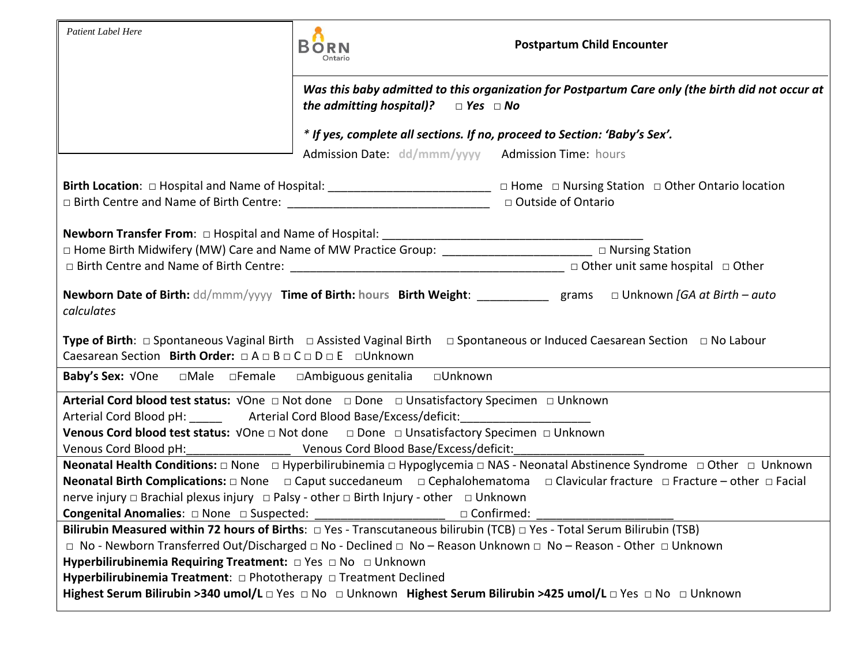| <b>Patient Label Here</b>                                                                                                                                                                                                                                                                                                                                                            | <b>BORN</b><br>Ontario                                                                                                                               | <b>Postpartum Child Encounter</b>                                                                                                   |  |
|--------------------------------------------------------------------------------------------------------------------------------------------------------------------------------------------------------------------------------------------------------------------------------------------------------------------------------------------------------------------------------------|------------------------------------------------------------------------------------------------------------------------------------------------------|-------------------------------------------------------------------------------------------------------------------------------------|--|
|                                                                                                                                                                                                                                                                                                                                                                                      | Was this baby admitted to this organization for Postpartum Care only (the birth did not occur at<br>the admitting hospital)?<br>$\Box$ Yes $\Box$ No |                                                                                                                                     |  |
|                                                                                                                                                                                                                                                                                                                                                                                      |                                                                                                                                                      | * If yes, complete all sections. If no, proceed to Section: 'Baby's Sex'.                                                           |  |
|                                                                                                                                                                                                                                                                                                                                                                                      | Admission Date: dd/mmm/yyyy Admission Time: hours                                                                                                    |                                                                                                                                     |  |
| □ Birth Centre and Name of Birth Centre: 1990 10 Dutside of Ontario                                                                                                                                                                                                                                                                                                                  |                                                                                                                                                      | Birth Location: □ Hospital and Name of Hospital: ________________________________ □ Home □ Nursing Station □ Other Ontario location |  |
|                                                                                                                                                                                                                                                                                                                                                                                      |                                                                                                                                                      |                                                                                                                                     |  |
| □ Home Birth Midwifery (MW) Care and Name of MW Practice Group: __________________________ □ Nursing Station                                                                                                                                                                                                                                                                         |                                                                                                                                                      |                                                                                                                                     |  |
|                                                                                                                                                                                                                                                                                                                                                                                      |                                                                                                                                                      |                                                                                                                                     |  |
| Newborn Date of Birth: dd/mmm/yyyy Time of Birth: hours Birth Weight: _________ grams $\Box$ Unknown [GA at Birth - auto<br>calculates<br><b>Type of Birth</b> : $\Box$ Spontaneous Vaginal Birth $\Box$ Assisted Vaginal Birth $\Box$ Spontaneous or Induced Caesarean Section $\Box$ No Labour<br>Caesarean Section Birth Order: $\Box A \Box B \Box C \Box D \Box E \Box$ Unknown |                                                                                                                                                      |                                                                                                                                     |  |
|                                                                                                                                                                                                                                                                                                                                                                                      |                                                                                                                                                      |                                                                                                                                     |  |
| Arterial Cord Blood pH: _______ Arterial Cord Blood Base/Excess/deficit: _________<br>Venous Cord blood test status: VOne a Not done a Done a Unsatisfactory Specimen a Unknown                                                                                                                                                                                                      |                                                                                                                                                      |                                                                                                                                     |  |
| Neonatal Health Conditions: □ None □ Hyperbilirubinemia □ Hypoglycemia □ NAS - Neonatal Abstinence Syndrome □ Other □ Unknown<br>nerve injury □ Brachial plexus injury □ Palsy - other □ Birth Injury - other □ Unknown<br>Congenital Anomalies: $\Box$ None $\Box$ Suspected:<br>□ Confirmed:                                                                                       |                                                                                                                                                      |                                                                                                                                     |  |
| Bilirubin Measured within 72 hours of Births: $\Box$ Yes - Transcutaneous bilirubin (TCB) $\Box$ Yes - Total Serum Bilirubin (TSB)                                                                                                                                                                                                                                                   |                                                                                                                                                      |                                                                                                                                     |  |
| □ No - Newborn Transferred Out/Discharged □ No - Declined □ No - Reason Unknown □ No - Reason - Other □ Unknown                                                                                                                                                                                                                                                                      |                                                                                                                                                      |                                                                                                                                     |  |
| Hyperbilirubinemia Requiring Treatment: DYes DNo DUnknown                                                                                                                                                                                                                                                                                                                            |                                                                                                                                                      |                                                                                                                                     |  |
| Hyperbilirubinemia Treatment: □ Phototherapy □ Treatment Declined                                                                                                                                                                                                                                                                                                                    |                                                                                                                                                      |                                                                                                                                     |  |
| Highest Serum Bilirubin >340 umol/L D Yes D No D Unknown Highest Serum Bilirubin >425 umol/L D Yes D No D Unknown                                                                                                                                                                                                                                                                    |                                                                                                                                                      |                                                                                                                                     |  |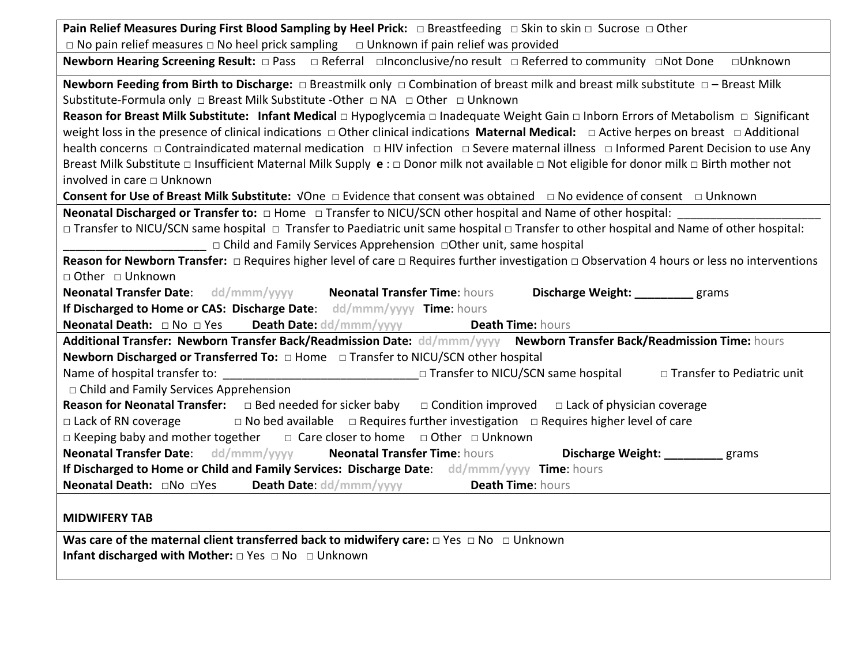| Pain Relief Measures During First Blood Sampling by Heel Prick: □ Breastfeeding □ Skin to skin □ Sucrose □ Other                                              |  |  |  |
|---------------------------------------------------------------------------------------------------------------------------------------------------------------|--|--|--|
| $\Box$ No pain relief measures $\Box$ No heel prick sampling $\Box$ Unknown if pain relief was provided                                                       |  |  |  |
| Newborn Hearing Screening Result: $\Box$ Pass $\Box$ Referral $\Box$ Inconclusive/no result $\Box$ Referred to community $\Box$ Not Done $\Box$ Unknown       |  |  |  |
| Newborn Feeding from Birth to Discharge: $\Box$ Breastmilk only $\Box$ Combination of breast milk and breast milk substitute $\Box$ - Breast Milk             |  |  |  |
| Substitute-Formula only □ Breast Milk Substitute -Other □ NA □ Other □ Unknown                                                                                |  |  |  |
| Reason for Breast Milk Substitute: Infant Medical $\Box$ Hypoglycemia $\Box$ Inadequate Weight Gain $\Box$ Inborn Errors of Metabolism $\Box$ Significant     |  |  |  |
| weight loss in the presence of clinical indications $\Box$ Other clinical indications Maternal Medical: $\Box$ Active herpes on breast $\Box$ Additional      |  |  |  |
| health concerns □ Contraindicated maternal medication □ HIV infection □ Severe maternal illness □ Informed Parent Decision to use Any                         |  |  |  |
| Breast Milk Substitute $\Box$ Insufficient Maternal Milk Supply $e: \Box$ Donor milk not available $\Box$ Not eligible for donor milk $\Box$ Birth mother not |  |  |  |
| involved in care □ Unknown                                                                                                                                    |  |  |  |
| Consent for Use of Breast Milk Substitute: VOne $\Box$ Evidence that consent was obtained $\Box$ No evidence of consent $\Box$ Unknown                        |  |  |  |
| <b>Neonatal Discharged or Transfer to:</b> □ Home □ Transfer to NICU/SCN other hospital and Name of other hospital:                                           |  |  |  |
| □ Transfer to NICU/SCN same hospital □ Transfer to Paediatric unit same hospital □ Transfer to other hospital and Name of other hospital:                     |  |  |  |
| □ Child and Family Services Apprehension □ Other unit, same hospital                                                                                          |  |  |  |
| Reason for Newborn Transfer: $\Box$ Requires higher level of care $\Box$ Requires further investigation $\Box$ Observation 4 hours or less no interventions   |  |  |  |
| □ Other □ Unknown                                                                                                                                             |  |  |  |
| <b>Neonatal Transfer Date:</b> dd/mmm/yyyy<br><b>Neonatal Transfer Time: hours</b><br>Discharge Weight: _________ grams                                       |  |  |  |
| If Discharged to Home or CAS: Discharge Date: dd/mmm/yyyy Time: hours                                                                                         |  |  |  |
| <b>Neonatal Death:</b> □ No □ Yes Death Date: dd/mmm/yyyy<br><b>Death Time: hours</b>                                                                         |  |  |  |
| Additional Transfer: Newborn Transfer Back/Readmission Date: dd/mmm/yyyy Newborn Transfer Back/Readmission Time: hours                                        |  |  |  |
| Newborn Discharged or Transferred To: $\Box$ Home $\Box$ Transfer to NICU/SCN other hospital                                                                  |  |  |  |
| □ Transfer to NICU/SCN same hospital<br>□ Transfer to Pediatric unit                                                                                          |  |  |  |
| $\Box$ Child and Family Services Apprehension                                                                                                                 |  |  |  |
| <b>Reason for Neonatal Transfer:</b> $\Box$ Bed needed for sicker baby $\Box$ Condition improved<br>$\Box$ Lack of physician coverage                         |  |  |  |
| $\Box$ Lack of RN coverage $\Box$ No bed available $\Box$ Requires further investigation $\Box$ Requires higher level of care                                 |  |  |  |
| □ Keeping baby and mother together<br>□ Care closer to home □ Other □ Unknown                                                                                 |  |  |  |
| Neonatal Transfer Date: dd/mmm/yyyy Neonatal Transfer Time: hours<br>Discharge Weight: __________ grams                                                       |  |  |  |
|                                                                                                                                                               |  |  |  |
| If Discharged to Home or Child and Family Services: Discharge Date: dd/mmm/yyyy Time: hours                                                                   |  |  |  |
| Death Time: hours<br><b>Neonatal Death:</b> □No □Yes <b>Death Date:</b> dd/mmm/yyyyy                                                                          |  |  |  |
|                                                                                                                                                               |  |  |  |
| <b>MIDWIFERY TAB</b><br>Was care of the maternal client transferred back to midwifery care: $\Box$ Yes $\Box$ No $\Box$ Unknown                               |  |  |  |